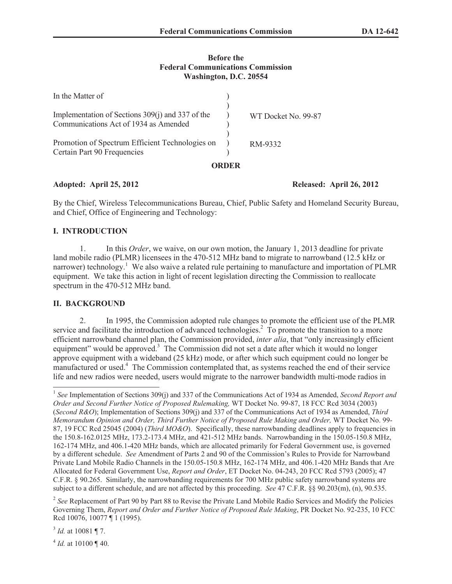## **Before the Federal Communications Commission Washington, D.C. 20554**

| Promotion of Spectrum Efficient Technologies on<br>Certain Part 90 Frequencies            |  | RM-9332             |
|-------------------------------------------------------------------------------------------|--|---------------------|
| Implementation of Sections 309(j) and 337 of the<br>Communications Act of 1934 as Amended |  | WT Docket No. 99-87 |
| In the Matter of                                                                          |  |                     |

# **Adopted: April 25, 2012 Released: April 26, 2012**

By the Chief, Wireless Telecommunications Bureau, Chief, Public Safety and Homeland Security Bureau, and Chief, Office of Engineering and Technology:

# **I. INTRODUCTION**

1. In this *Order*, we waive, on our own motion, the January 1, 2013 deadline for private land mobile radio (PLMR) licensees in the 470-512 MHz band to migrate to narrowband (12.5 kHz or narrower) technology.<sup>1</sup> We also waive a related rule pertaining to manufacture and importation of PLMR equipment. We take this action in light of recent legislation directing the Commission to reallocate spectrum in the 470-512 MHz band.

## **II. BACKGROUND**

2. In 1995, the Commission adopted rule changes to promote the efficient use of the PLMR service and facilitate the introduction of advanced technologies.<sup>2</sup> To promote the transition to a more efficient narrowband channel plan, the Commission provided, *inter alia*, that "only increasingly efficient equipment" would be approved.<sup>3</sup> The Commission did not set a date after which it would no longer approve equipment with a wideband (25 kHz) mode, or after which such equipment could no longer be manufactured or used.<sup>4</sup> The Commission contemplated that, as systems reached the end of their service life and new radios were needed, users would migrate to the narrower bandwidth multi-mode radios in

3 *Id.* at 10081 ¶ 7.

 $^{4}$  *Id.* at 10100 ¶ 40.

<sup>&</sup>lt;sup>1</sup> See Implementation of Sections 309(j) and 337 of the Communications Act of 1934 as Amended, *Second Report and Order and Second Further Notice of Proposed Rulemaking,* WT Docket No. 99-87, 18 FCC Rcd 3034 (2003) (*Second R&O*); Implementation of Sections 309(j) and 337 of the Communications Act of 1934 as Amended, *Third Memorandum Opinion and Order, Third Further Notice of Proposed Rule Making and Order,* WT Docket No. 99- 87, 19 FCC Rcd 25045 (2004) (*Third MO&O*). Specifically, these narrowbanding deadlines apply to frequencies in the 150.8-162.0125 MHz, 173.2-173.4 MHz, and 421-512 MHz bands. Narrowbanding in the 150.05-150.8 MHz, 162-174 MHz, and 406.1-420 MHz bands, which are allocated primarily for Federal Government use, is governed by a different schedule. *See* Amendment of Parts 2 and 90 of the Commission's Rules to Provide for Narrowband Private Land Mobile Radio Channels in the 150.05-150.8 MHz, 162-174 MHz, and 406.1-420 MHz Bands that Are Allocated for Federal Government Use, *Report and Order*, ET Docket No. 04-243, 20 FCC Rcd 5793 (2005); 47 C.F.R. § 90.265. Similarly, the narrowbanding requirements for 700 MHz public safety narrowband systems are subject to a different schedule, and are not affected by this proceeding. *See* 47 C.F.R. §§ 90.203(m), (n), 90.535.

<sup>&</sup>lt;sup>2</sup> See Replacement of Part 90 by Part 88 to Revise the Private Land Mobile Radio Services and Modify the Policies Governing Them, *Report and Order and Further Notice of Proposed Rule Making*, PR Docket No. 92-235, 10 FCC Rcd 10076, 10077 ¶ 1 (1995).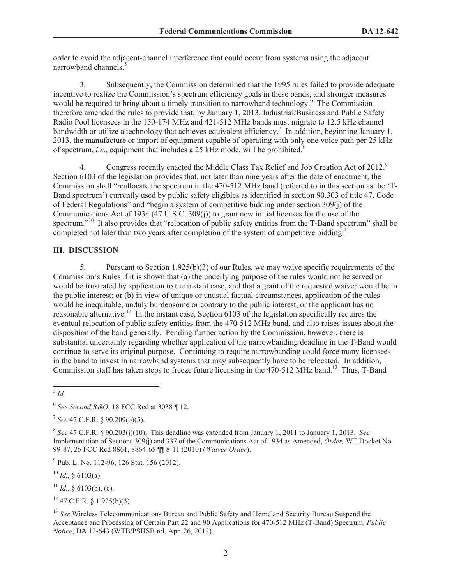order to avoid the adjacent-channel interference that could occur from systems using the adjacent narrowband channels $\frac{5}{5}$ 

3. Subsequently, the Commission determined that the 1995 rules failed to provide adequate incentive to realize the Commission's spectrum efficiency goals in these bands, and stronger measures would be required to bring about a timely transition to narrowband technology.<sup>6</sup> The Commission therefore amended the rules to provide that, by January 1, 2013, Industrial/Business and Public Safety Radio Pool licensees in the 150-174 MHz and 421-512 MHz bands must migrate to 12.5 kHz channel bandwidth or utilize a technology that achieves equivalent efficiency.<sup>7</sup> In addition, beginning January 1, 2013, the manufacture or import of equipment capable of operating with only one voice path per 25 kHz of spectrum, *i.e.*, equipment that includes a 25 kHz mode, will be prohibited.<sup>8</sup>

4. Congress recently enacted the Middle Class Tax Relief and Job Creation Act of 2012.<sup>9</sup> Section 6103 of the legislation provides that, not later than nine years after the date of enactment, the Commission shall "reallocate the spectrum in the 470-512 MHz band (referred to in this section as the 'T-Band spectrum') currently used by public safety eligibles as identified in section 90.303 of title 47, Code of Federal Regulations" and "begin a system of competitive bidding under section 309(j) of the Communications Act of 1934 (47 U.S.C. 309(j)) to grant new initial licenses for the use of the spectrum."<sup>10</sup> It also provides that "relocation of public safety entities from the T-Band spectrum" shall be completed not later than two years after completion of the system of competitive bidding.<sup>11</sup>

### **III. DISCUSSION**

5. Pursuant to Section 1.925(b)(3) of our Rules, we may waive specific requirements of the Commission's Rules if it is shown that (a) the underlying purpose of the rules would not be served or would be frustrated by application to the instant case, and that a grant of the requested waiver would be in the public interest; or (b) in view of unique or unusual factual circumstances, application of the rules would be inequitable, unduly burdensome or contrary to the public interest, or the applicant has no reasonable alternative.<sup>12</sup> In the instant case, Section 6103 of the legislation specifically requires the eventual relocation of public safety entities from the 470-512 MHz band, and also raises issues about the disposition of the band generally. Pending further action by the Commission, however, there is substantial uncertainty regarding whether application of the narrowbanding deadline in the T-Band would continue to serve its original purpose. Continuing to require narrowbanding could force many licensees in the band to invest in narrowband systems that may subsequently have to be relocated. In addition, Commission staff has taken steps to freeze future licensing in the 470-512 MHz band.<sup>13</sup> Thus, T-Band

5 *Id.*

<sup>9</sup> Pub. L. No. 112-96, 126 Stat. 156 (2012).

 $^{10}$  *Id.*, § 6103(a).

<sup>11</sup> *Id.*, § 6103(b), (c).

 $12$  47 C.F.R. § 1.925(b)(3).

<sup>13</sup> *See* Wireless Telecommunications Bureau and Public Safety and Homeland Security Bureau Suspend the Acceptance and Processing of Certain Part 22 and 90 Applications for 470-512 MHz (T-Band) Spectrum, *Public Notice*, DA 12-643 (WTB/PSHSB rel. Apr. 26, 2012).

<sup>6</sup> *See Second R&O*, 18 FCC Rcd at 3038 ¶ 12.

<sup>7</sup> *See* 47 C.F.R. § 90.209(b)(5).

<sup>8</sup> *See* 47 C.F.R. § 90.203(j)(10). This deadline was extended from January 1, 2011 to January 1, 2013. *See* Implementation of Sections 309(j) and 337 of the Communications Act of 1934 as Amended, *Order,* WT Docket No. 99-87, 25 FCC Rcd 8861, 8864-65 ¶¶ 8-11 (2010) (*Waiver Order*).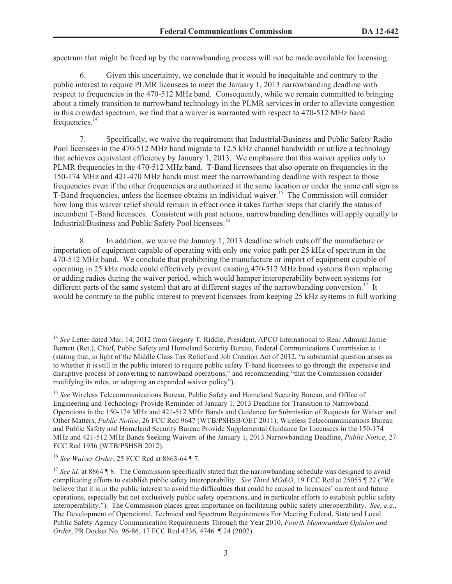spectrum that might be freed up by the narrowbanding process will not be made available for licensing.

6. Given this uncertainty, we conclude that it would be inequitable and contrary to the public interest to require PLMR licensees to meet the January 1, 2013 narrowbanding deadline with respect to frequencies in the 470-512 MHz band. Consequently, while we remain committed to bringing about a timely transition to narrowband technology in the PLMR services in order to alleviate congestion in this crowded spectrum, we find that a waiver is warranted with respect to 470-512 MHz band frequencies.<sup>14</sup>

7. Specifically, we waive the requirement that Industrial/Business and Public Safety Radio Pool licensees in the 470-512 MHz band migrate to 12.5 kHz channel bandwidth or utilize a technology that achieves equivalent efficiency by January 1, 2013. We emphasize that this waiver applies only to PLMR frequencies in the 470-512 MHz band. T-Band licensees that also operate on frequencies in the 150-174 MHz and 421-470 MHz bands must meet the narrowbanding deadline with respect to those frequencies even if the other frequencies are authorized at the same location or under the same call sign as T-Band frequencies, unless the licensee obtains an individual waiver.<sup>15</sup> The Commission will consider how long this waiver relief should remain in effect once it takes further steps that clarify the status of incumbent T-Band licensees. Consistent with past actions, narrowbanding deadlines will apply equally to Industrial/Business and Public Safety Pool licensees.<sup>16</sup>

8. In addition, we waive the January 1, 2013 deadline which cuts off the manufacture or importation of equipment capable of operating with only one voice path per 25 kHz of spectrum in the 470-512 MHz band. We conclude that prohibiting the manufacture or import of equipment capable of operating in 25 kHz mode could effectively prevent existing 470-512 MHz band systems from replacing or adding radios during the waiver period, which would hamper interoperability between systems (or different parts of the same system) that are at different stages of the narrowbanding conversion.<sup>17</sup> It would be contrary to the public interest to prevent licensees from keeping 25 kHz systems in full working

<sup>&</sup>lt;sup>14</sup> See Letter dated Mar. 14, 2012 from Gregory T. Riddle, President, APCO International to Rear Admiral Jamie Barnett (Ret.), Chief, Public Safety and Homeland Security Bureau, Federal Communications Commission at 1 (stating that, in light of the Middle Class Tax Relief and Job Creation Act of 2012, "a substantial question arises as to whether it is still in the public interest to require public safety T-band licensees to go through the expensive and disruptive process of converting to narrowband operations," and recommending "that the Commission consider modifying its rules, or adopting an expanded waiver policy").

<sup>15</sup> *See* Wireless Telecommunications Bureau, Public Safety and Homeland Security Bureau, and Office of Engineering and Technology Provide Reminder of January 1, 2013 Deadline for Transition to Narrowband Operations in the 150-174 MHz and 421-512 MHz Bands and Guidance for Submission of Requests for Waiver and Other Matters, *Public Notice*, 26 FCC Rcd 9647 (WTB/PSHSB/OET 2011); Wireless Telecommunications Bureau and Public Safety and Homeland Security Bureau Provide Supplemental Guidance for Licensees in the 150-174 MHz and 421-512 MHz Bands Seeking Waivers of the January 1, 2013 Narrowbanding Deadline, *Public Notice*, 27 FCC Rcd 1936 (WTB/PSHSB 2012).

<sup>16</sup> *See Waiver Order*, 25 FCC Rcd at 8863-64 ¶ 7.

<sup>&</sup>lt;sup>17</sup> See id. at 8864 ¶ 8. The Commission specifically stated that the narrowbanding schedule was designed to avoid complicating efforts to establish public safety interoperability. *See Third MO&O*, 19 FCC Rcd at 25055 ¶ 22 ("We believe that it is in the public interest to avoid the difficulties that could be caused to licensees' current and future operations, especially but not exclusively public safety operations, and in particular efforts to establish public safety interoperability."). The Commission places great importance on facilitating public safety interoperability. *See, e.g.*, The Development of Operational, Technical and Spectrum Requirements For Meeting Federal, State and Local Public Safety Agency Communication Requirements Through the Year 2010, *Fourth Memorandum Opinion and Order*, PR Docket No. 96-86, 17 FCC Rcd 4736, 4746 ¶ 24 (2002).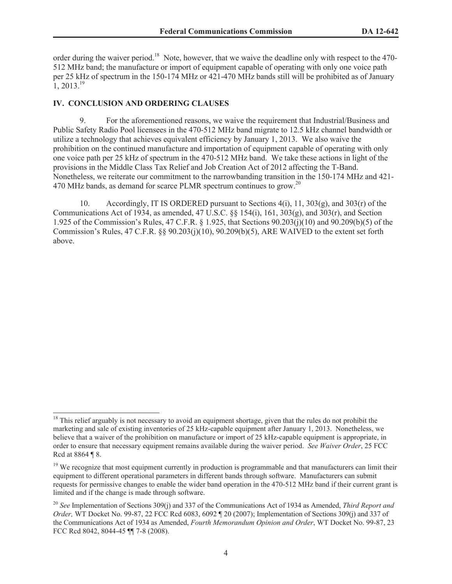order during the waiver period.<sup>18</sup> Note, however, that we waive the deadline only with respect to the 470- 512 MHz band; the manufacture or import of equipment capable of operating with only one voice path per 25 kHz of spectrum in the 150-174 MHz or 421-470 MHz bands still will be prohibited as of January  $1, 2013.<sup>19</sup>$ 

#### **IV. CONCLUSION AND ORDERING CLAUSES**

9. For the aforementioned reasons, we waive the requirement that Industrial/Business and Public Safety Radio Pool licensees in the 470-512 MHz band migrate to 12.5 kHz channel bandwidth or utilize a technology that achieves equivalent efficiency by January 1, 2013. We also waive the prohibition on the continued manufacture and importation of equipment capable of operating with only one voice path per 25 kHz of spectrum in the 470-512 MHz band. We take these actions in light of the provisions in the Middle Class Tax Relief and Job Creation Act of 2012 affecting the T-Band. Nonetheless, we reiterate our commitment to the narrowbanding transition in the 150-174 MHz and 421- 470 MHz bands, as demand for scarce PLMR spectrum continues to grow.<sup>20</sup>

10. Accordingly, IT IS ORDERED pursuant to Sections 4(i), 11, 303(g), and 303(r) of the Communications Act of 1934, as amended, 47 U.S.C. §§ 154(i), 161, 303(g), and 303(r), and Section 1.925 of the Commission's Rules, 47 C.F.R. § 1.925, that Sections 90.203(j)(10) and 90.209(b)(5) of the Commission's Rules, 47 C.F.R. §§ 90.203(j)(10), 90.209(b)(5), ARE WAIVED to the extent set forth above.

 $18$  This relief arguably is not necessary to avoid an equipment shortage, given that the rules do not prohibit the marketing and sale of existing inventories of 25 kHz-capable equipment after January 1, 2013. Nonetheless, we believe that a waiver of the prohibition on manufacture or import of 25 kHz-capable equipment is appropriate, in order to ensure that necessary equipment remains available during the waiver period. *See Waiver Order*, 25 FCC Rcd at 8864 ¶ 8.

 $19$  We recognize that most equipment currently in production is programmable and that manufacturers can limit their equipment to different operational parameters in different bands through software. Manufacturers can submit requests for permissive changes to enable the wider band operation in the 470-512 MHz band if their current grant is limited and if the change is made through software.

<sup>20</sup> *See* Implementation of Sections 309(j) and 337 of the Communications Act of 1934 as Amended, *Third Report and Order,* WT Docket No. 99-87, 22 FCC Rcd 6083, 6092 ¶ 20 (2007); Implementation of Sections 309(j) and 337 of the Communications Act of 1934 as Amended, *Fourth Memorandum Opinion and Order*, WT Docket No. 99-87, 23 FCC Rcd 8042, 8044-45 ¶¶ 7-8 (2008).